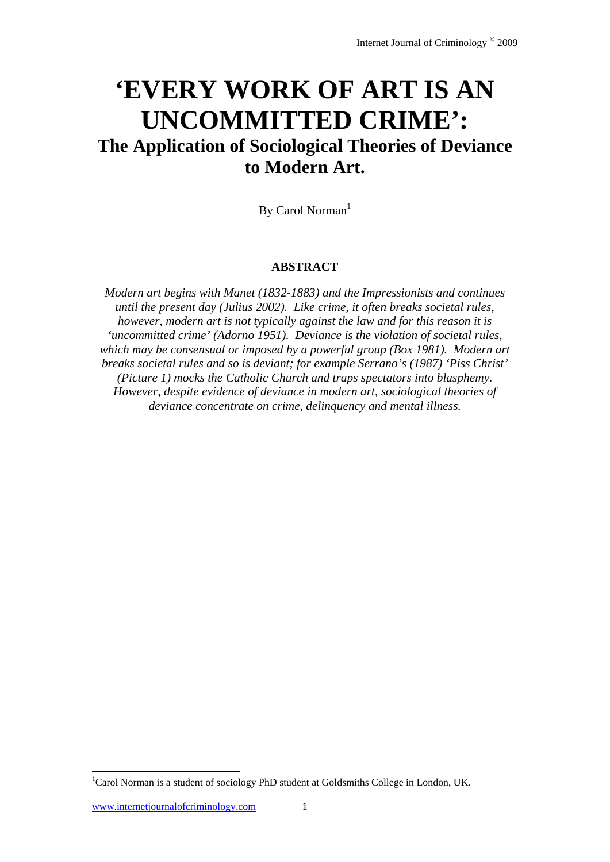# **'EVERY WORK OF ART IS AN UNCOMMITTED CRIME': The Application of Sociological Theories of Deviance to Modern Art.**

By Carol Norman $<sup>1</sup>$ </sup>

### **ABSTRACT**

*Modern art begins with Manet (1832-1883) and the Impressionists and continues until the present day (Julius 2002). Like crime, it often breaks societal rules, however, modern art is not typically against the law and for this reason it is 'uncommitted crime' (Adorno 1951). Deviance is the violation of societal rules, which may be consensual or imposed by a powerful group (Box 1981). Modern art breaks societal rules and so is deviant; for example Serrano's (1987) 'Piss Christ' (Picture 1) mocks the Catholic Church and traps spectators into blasphemy. However, despite evidence of deviance in modern art, sociological theories of deviance concentrate on crime, delinquency and mental illness.* 

l

<sup>&</sup>lt;sup>1</sup>Carol Norman is a student of sociology PhD student at Goldsmiths College in London, UK.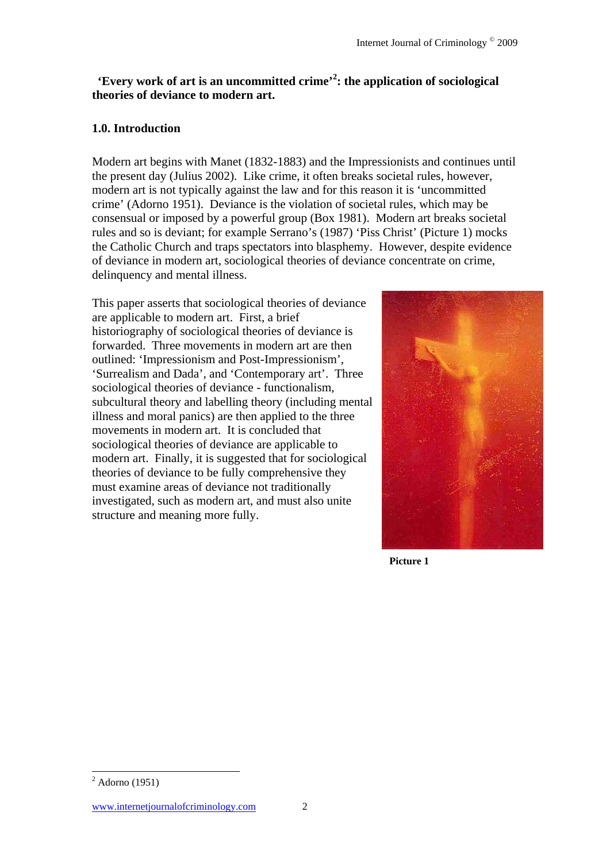## **'Every work of art is an uncommitted crime'<sup>2</sup> : the application of sociological theories of deviance to modern art.**

### **1.0. Introduction**

Modern art begins with Manet (1832-1883) and the Impressionists and continues until the present day (Julius 2002). Like crime, it often breaks societal rules, however, modern art is not typically against the law and for this reason it is 'uncommitted crime' (Adorno 1951). Deviance is the violation of societal rules, which may be consensual or imposed by a powerful group (Box 1981). Modern art breaks societal rules and so is deviant; for example Serrano's (1987) 'Piss Christ' (Picture 1) mocks the Catholic Church and traps spectators into blasphemy. However, despite evidence of deviance in modern art, sociological theories of deviance concentrate on crime, delinquency and mental illness.

This paper asserts that sociological theories of deviance are applicable to modern art. First, a brief historiography of sociological theories of deviance is forwarded. Three movements in modern art are then outlined: 'Impressionism and Post-Impressionism', 'Surrealism and Dada', and 'Contemporary art'. Three sociological theories of deviance - functionalism, subcultural theory and labelling theory (including mental illness and moral panics) are then applied to the three movements in modern art. It is concluded that sociological theories of deviance are applicable to modern art. Finally, it is suggested that for sociological theories of deviance to be fully comprehensive they must examine areas of deviance not traditionally investigated, such as modern art, and must also unite structure and meaning more fully.



**Picture 1** 

l

 $<sup>2</sup>$  Adorno (1951)</sup>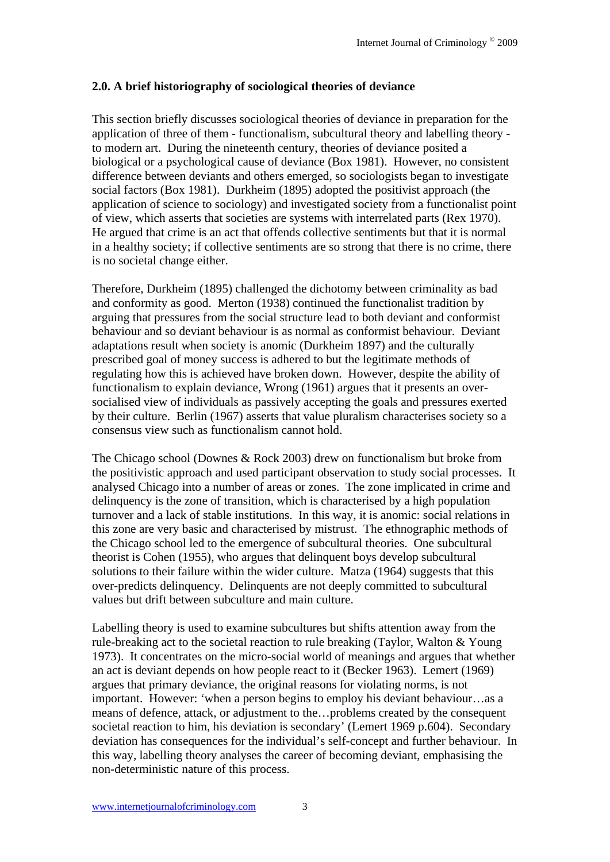### **2.0. A brief historiography of sociological theories of deviance**

This section briefly discusses sociological theories of deviance in preparation for the application of three of them - functionalism, subcultural theory and labelling theory to modern art. During the nineteenth century, theories of deviance posited a biological or a psychological cause of deviance (Box 1981). However, no consistent difference between deviants and others emerged, so sociologists began to investigate social factors (Box 1981). Durkheim (1895) adopted the positivist approach (the application of science to sociology) and investigated society from a functionalist point of view, which asserts that societies are systems with interrelated parts (Rex 1970). He argued that crime is an act that offends collective sentiments but that it is normal in a healthy society; if collective sentiments are so strong that there is no crime, there is no societal change either.

Therefore, Durkheim (1895) challenged the dichotomy between criminality as bad and conformity as good. Merton (1938) continued the functionalist tradition by arguing that pressures from the social structure lead to both deviant and conformist behaviour and so deviant behaviour is as normal as conformist behaviour. Deviant adaptations result when society is anomic (Durkheim 1897) and the culturally prescribed goal of money success is adhered to but the legitimate methods of regulating how this is achieved have broken down. However, despite the ability of functionalism to explain deviance, Wrong (1961) argues that it presents an oversocialised view of individuals as passively accepting the goals and pressures exerted by their culture. Berlin (1967) asserts that value pluralism characterises society so a consensus view such as functionalism cannot hold.

The Chicago school (Downes & Rock 2003) drew on functionalism but broke from the positivistic approach and used participant observation to study social processes. It analysed Chicago into a number of areas or zones. The zone implicated in crime and delinquency is the zone of transition, which is characterised by a high population turnover and a lack of stable institutions. In this way, it is anomic: social relations in this zone are very basic and characterised by mistrust. The ethnographic methods of the Chicago school led to the emergence of subcultural theories. One subcultural theorist is Cohen (1955), who argues that delinquent boys develop subcultural solutions to their failure within the wider culture. Matza (1964) suggests that this over-predicts delinquency. Delinquents are not deeply committed to subcultural values but drift between subculture and main culture.

Labelling theory is used to examine subcultures but shifts attention away from the rule-breaking act to the societal reaction to rule breaking (Taylor, Walton & Young 1973). It concentrates on the micro-social world of meanings and argues that whether an act is deviant depends on how people react to it (Becker 1963). Lemert (1969) argues that primary deviance, the original reasons for violating norms, is not important. However: 'when a person begins to employ his deviant behaviour…as a means of defence, attack, or adjustment to the…problems created by the consequent societal reaction to him, his deviation is secondary' (Lemert 1969 p.604). Secondary deviation has consequences for the individual's self-concept and further behaviour. In this way, labelling theory analyses the career of becoming deviant, emphasising the non-deterministic nature of this process.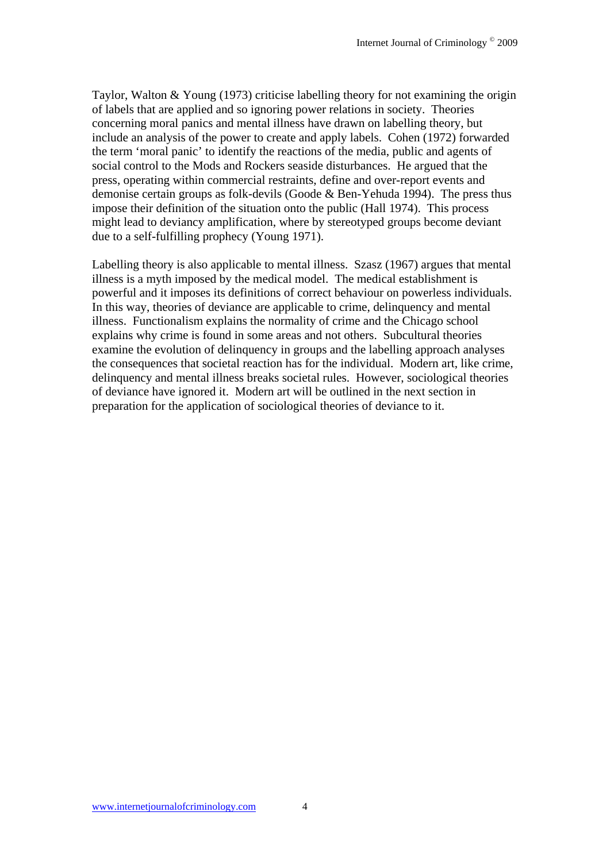Taylor, Walton & Young (1973) criticise labelling theory for not examining the origin of labels that are applied and so ignoring power relations in society. Theories concerning moral panics and mental illness have drawn on labelling theory, but include an analysis of the power to create and apply labels. Cohen (1972) forwarded the term 'moral panic' to identify the reactions of the media, public and agents of social control to the Mods and Rockers seaside disturbances. He argued that the press, operating within commercial restraints, define and over-report events and demonise certain groups as folk-devils (Goode & Ben-Yehuda 1994). The press thus impose their definition of the situation onto the public (Hall 1974). This process might lead to deviancy amplification, where by stereotyped groups become deviant due to a self-fulfilling prophecy (Young 1971).

Labelling theory is also applicable to mental illness. Szasz (1967) argues that mental illness is a myth imposed by the medical model. The medical establishment is powerful and it imposes its definitions of correct behaviour on powerless individuals. In this way, theories of deviance are applicable to crime, delinquency and mental illness. Functionalism explains the normality of crime and the Chicago school explains why crime is found in some areas and not others. Subcultural theories examine the evolution of delinquency in groups and the labelling approach analyses the consequences that societal reaction has for the individual. Modern art, like crime, delinquency and mental illness breaks societal rules. However, sociological theories of deviance have ignored it. Modern art will be outlined in the next section in preparation for the application of sociological theories of deviance to it.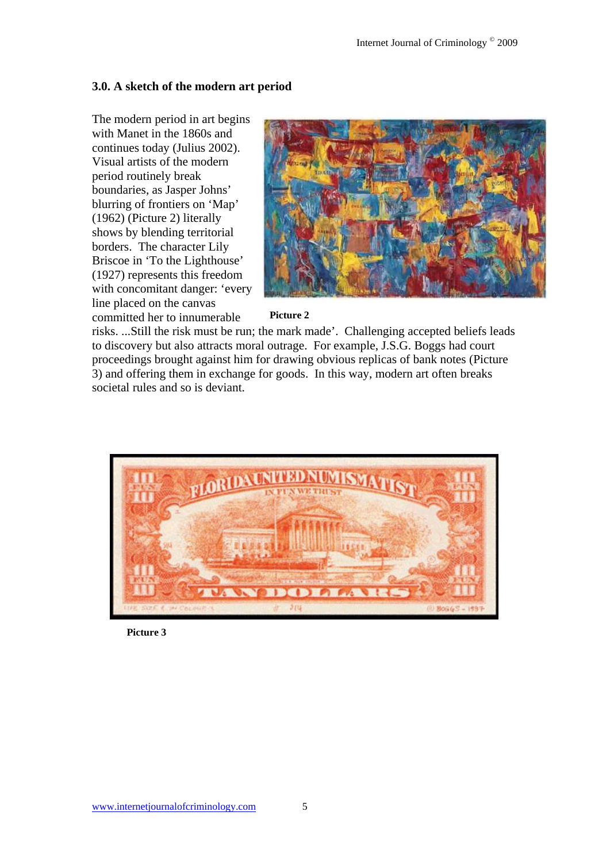#### **3.0. A sketch of the modern art period**

The modern period in art begins with Manet in the 1860s and continues today (Julius 2002). Visual artists of the modern period routinely break boundaries, as Jasper Johns' blurring of frontiers on 'Map' (1962) (Picture 2) literally shows by blending territorial borders. The character Lily Briscoe in 'To the Lighthouse' (1927) represents this freedom with concomitant danger: 'every line placed on the canvas committed her to innumerable



#### **Picture 2**

risks. ...Still the risk must be run; the mark made'. Challenging accepted beliefs leads to discovery but also attracts moral outrage. For example, J.S.G. Boggs had court proceedings brought against him for drawing obvious replicas of bank notes (Picture 3) and offering them in exchange for goods. In this way, modern art often breaks societal rules and so is deviant.



**Picture 3**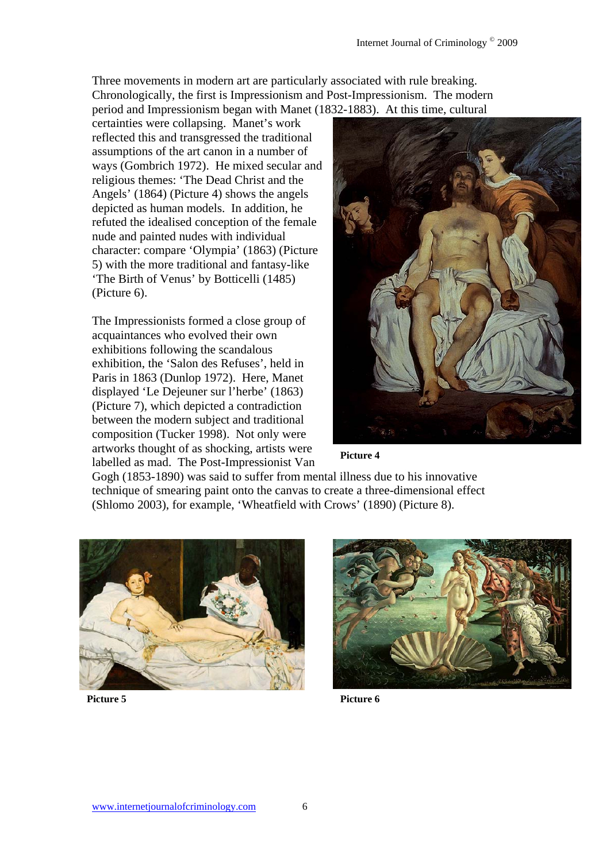Three movements in modern art are particularly associated with rule breaking. Chronologically, the first is Impressionism and Post-Impressionism. The modern period and Impressionism began with Manet (1832-1883). At this time, cultural

certainties were collapsing. Manet's work reflected this and transgressed the traditional assumptions of the art canon in a number of ways (Gombrich 1972). He mixed secular and religious themes: 'The Dead Christ and the Angels' (1864) (Picture 4) shows the angels depicted as human models. In addition, he refuted the idealised conception of the female nude and painted nudes with individual character: compare 'Olympia' (1863) (Picture 5) with the more traditional and fantasy-like 'The Birth of Venus' by Botticelli (1485) (Picture 6).

The Impressionists formed a close group of acquaintances who evolved their own exhibitions following the scandalous exhibition, the 'Salon des Refuses', held in Paris in 1863 (Dunlop 1972). Here, Manet displayed 'Le Dejeuner sur l'herbe' (1863) (Picture 7), which depicted a contradiction between the modern subject and traditional composition (Tucker 1998). Not only were artworks thought of as shocking, artists were labelled as mad. The Post-Impressionist Van



**Picture 4** 

Gogh (1853-1890) was said to suffer from mental illness due to his innovative technique of smearing paint onto the canvas to create a three-dimensional effect (Shlomo 2003), for example, 'Wheatfield with Crows' (1890) (Picture 8).





Picture 5 **Picture 6**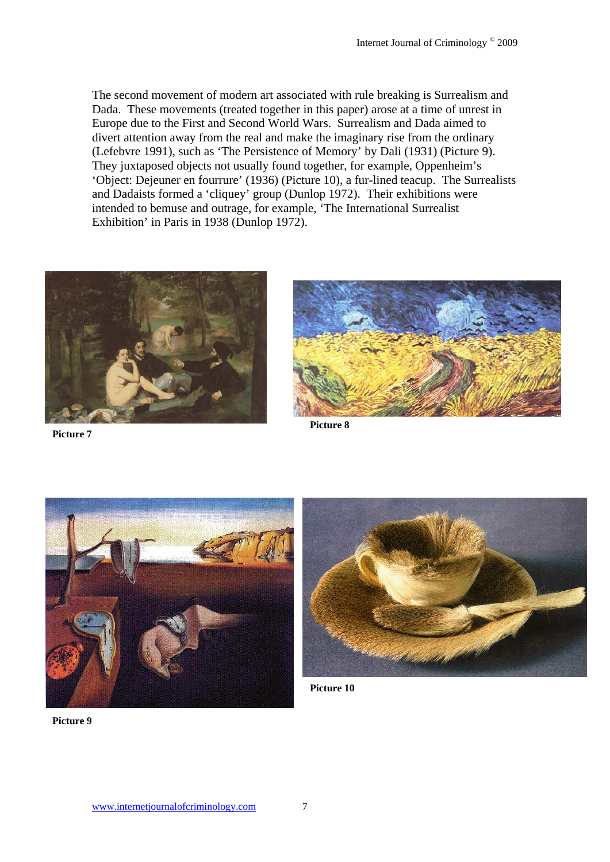The second movement of modern art associated with rule breaking is Surrealism and Dada. These movements (treated together in this paper) arose at a time of unrest in Europe due to the First and Second World Wars. Surrealism and Dada aimed to divert attention away from the real and make the imaginary rise from the ordinary (Lefebvre 1991), such as 'The Persistence of Memory' by Dali (1931) (Picture 9). They juxtaposed objects not usually found together, for example, Oppenheim's 'Object: Dejeuner en fourrure' (1936) (Picture 10), a fur-lined teacup. The Surrealists and Dadaists formed a 'cliquey' group (Dunlop 1972). Their exhibitions were intended to bemuse and outrage, for example, 'The International Surrealist Exhibition' in Paris in 1938 (Dunlop 1972).



**Picture 7**

**Picture 8** 





**Picture 10**

**Picture 9**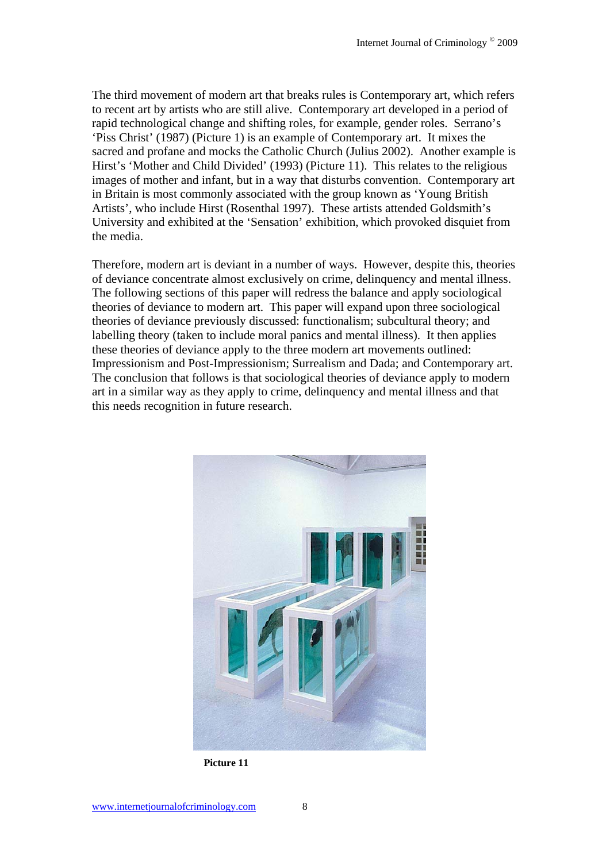The third movement of modern art that breaks rules is Contemporary art, which refers to recent art by artists who are still alive. Contemporary art developed in a period of rapid technological change and shifting roles, for example, gender roles. Serrano's 'Piss Christ' (1987) (Picture 1) is an example of Contemporary art. It mixes the sacred and profane and mocks the Catholic Church (Julius 2002). Another example is Hirst's 'Mother and Child Divided' (1993) (Picture 11). This relates to the religious images of mother and infant, but in a way that disturbs convention. Contemporary art in Britain is most commonly associated with the group known as 'Young British Artists', who include Hirst (Rosenthal 1997). These artists attended Goldsmith's University and exhibited at the 'Sensation' exhibition, which provoked disquiet from the media.

Therefore, modern art is deviant in a number of ways. However, despite this, theories of deviance concentrate almost exclusively on crime, delinquency and mental illness. The following sections of this paper will redress the balance and apply sociological theories of deviance to modern art. This paper will expand upon three sociological theories of deviance previously discussed: functionalism; subcultural theory; and labelling theory (taken to include moral panics and mental illness). It then applies these theories of deviance apply to the three modern art movements outlined: Impressionism and Post-Impressionism; Surrealism and Dada; and Contemporary art. The conclusion that follows is that sociological theories of deviance apply to modern art in a similar way as they apply to crime, delinquency and mental illness and that this needs recognition in future research.



**Picture 11**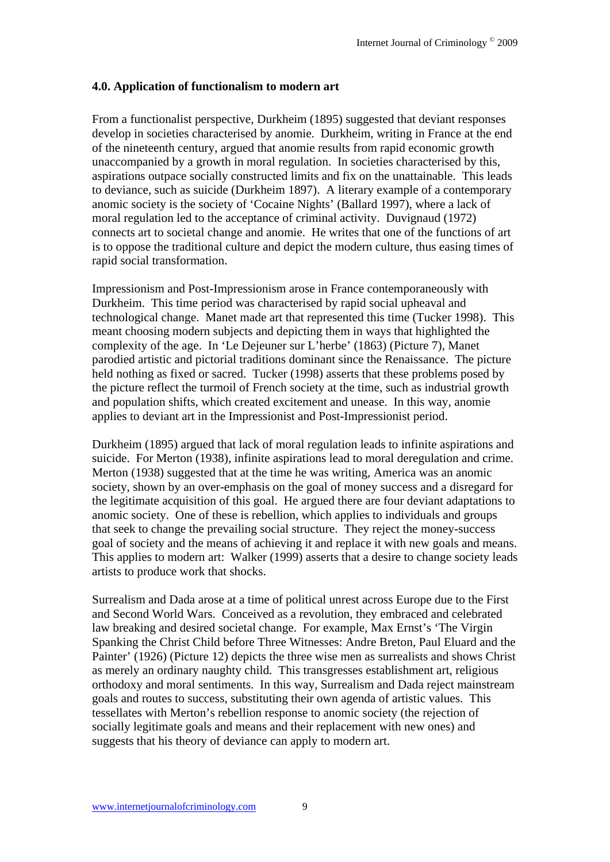#### **4.0. Application of functionalism to modern art**

From a functionalist perspective, Durkheim (1895) suggested that deviant responses develop in societies characterised by anomie. Durkheim, writing in France at the end of the nineteenth century, argued that anomie results from rapid economic growth unaccompanied by a growth in moral regulation. In societies characterised by this, aspirations outpace socially constructed limits and fix on the unattainable. This leads to deviance, such as suicide (Durkheim 1897). A literary example of a contemporary anomic society is the society of 'Cocaine Nights' (Ballard 1997), where a lack of moral regulation led to the acceptance of criminal activity. Duvignaud (1972) connects art to societal change and anomie. He writes that one of the functions of art is to oppose the traditional culture and depict the modern culture, thus easing times of rapid social transformation.

Impressionism and Post-Impressionism arose in France contemporaneously with Durkheim. This time period was characterised by rapid social upheaval and technological change. Manet made art that represented this time (Tucker 1998). This meant choosing modern subjects and depicting them in ways that highlighted the complexity of the age. In 'Le Dejeuner sur L'herbe' (1863) (Picture 7), Manet parodied artistic and pictorial traditions dominant since the Renaissance. The picture held nothing as fixed or sacred. Tucker (1998) asserts that these problems posed by the picture reflect the turmoil of French society at the time, such as industrial growth and population shifts, which created excitement and unease. In this way, anomie applies to deviant art in the Impressionist and Post-Impressionist period.

Durkheim (1895) argued that lack of moral regulation leads to infinite aspirations and suicide. For Merton (1938), infinite aspirations lead to moral deregulation and crime. Merton (1938) suggested that at the time he was writing, America was an anomic society, shown by an over-emphasis on the goal of money success and a disregard for the legitimate acquisition of this goal. He argued there are four deviant adaptations to anomic society. One of these is rebellion, which applies to individuals and groups that seek to change the prevailing social structure. They reject the money-success goal of society and the means of achieving it and replace it with new goals and means. This applies to modern art: Walker (1999) asserts that a desire to change society leads artists to produce work that shocks.

Surrealism and Dada arose at a time of political unrest across Europe due to the First and Second World Wars. Conceived as a revolution, they embraced and celebrated law breaking and desired societal change. For example, Max Ernst's 'The Virgin Spanking the Christ Child before Three Witnesses: Andre Breton, Paul Eluard and the Painter' (1926) (Picture 12) depicts the three wise men as surrealists and shows Christ as merely an ordinary naughty child. This transgresses establishment art, religious orthodoxy and moral sentiments. In this way, Surrealism and Dada reject mainstream goals and routes to success, substituting their own agenda of artistic values. This tessellates with Merton's rebellion response to anomic society (the rejection of socially legitimate goals and means and their replacement with new ones) and suggests that his theory of deviance can apply to modern art.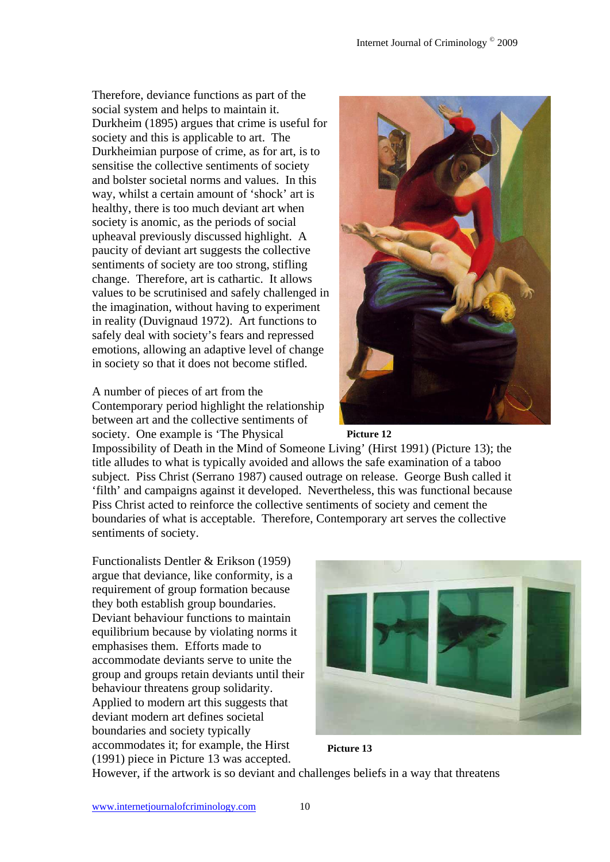Therefore, deviance functions as part of the social system and helps to maintain it. Durkheim (1895) argues that crime is useful for society and this is applicable to art. The Durkheimian purpose of crime, as for art, is to sensitise the collective sentiments of society and bolster societal norms and values. In this way, whilst a certain amount of 'shock' art is healthy, there is too much deviant art when society is anomic, as the periods of social upheaval previously discussed highlight. A paucity of deviant art suggests the collective sentiments of society are too strong, stifling change. Therefore, art is cathartic. It allows values to be scrutinised and safely challenged in the imagination, without having to experiment in reality (Duvignaud 1972). Art functions to safely deal with society's fears and repressed emotions, allowing an adaptive level of change in society so that it does not become stifled.

A number of pieces of art from the Contemporary period highlight the relationship between art and the collective sentiments of society. One example is 'The Physical





Impossibility of Death in the Mind of Someone Living' (Hirst 1991) (Picture 13); the title alludes to what is typically avoided and allows the safe examination of a taboo subject. Piss Christ (Serrano 1987) caused outrage on release. George Bush called it 'filth' and campaigns against it developed. Nevertheless, this was functional because Piss Christ acted to reinforce the collective sentiments of society and cement the boundaries of what is acceptable. Therefore, Contemporary art serves the collective sentiments of society.

Functionalists Dentler & Erikson (1959) argue that deviance, like conformity, is a requirement of group formation because they both establish group boundaries. Deviant behaviour functions to maintain equilibrium because by violating norms it emphasises them. Efforts made to accommodate deviants serve to unite the group and groups retain deviants until their behaviour threatens group solidarity. Applied to modern art this suggests that deviant modern art defines societal boundaries and society typically accommodates it; for example, the Hirst (1991) piece in Picture 13 was accepted.





However, if the artwork is so deviant and challenges beliefs in a way that threatens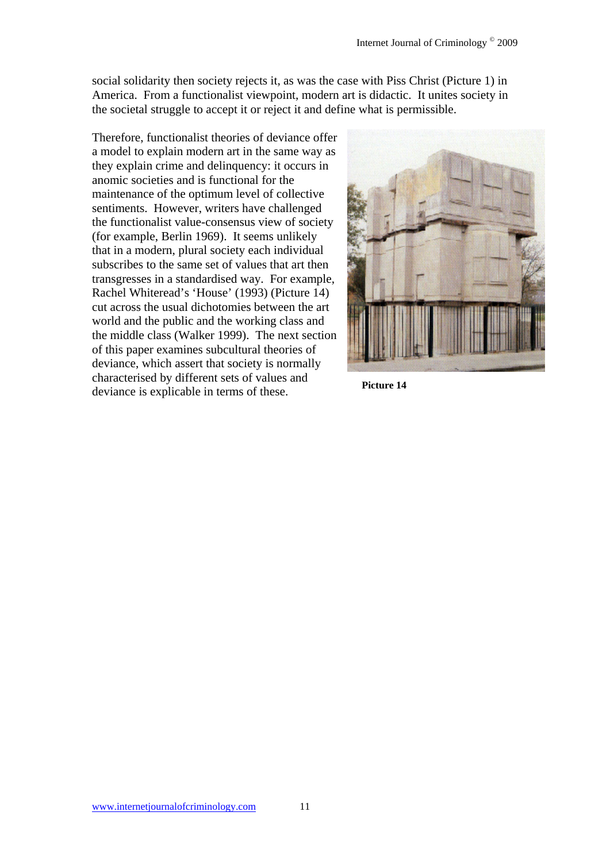social solidarity then society rejects it, as was the case with Piss Christ (Picture 1) in America. From a functionalist viewpoint, modern art is didactic. It unites society in the societal struggle to accept it or reject it and define what is permissible.

Therefore, functionalist theories of deviance offer a model to explain modern art in the same way as they explain crime and delinquency: it occurs in anomic societies and is functional for the maintenance of the optimum level of collective sentiments. However, writers have challenged the functionalist value-consensus view of society (for example, Berlin 1969). It seems unlikely that in a modern, plural society each individual subscribes to the same set of values that art then transgresses in a standardised way. For example, Rachel Whiteread's 'House' (1993) (Picture 14) cut across the usual dichotomies between the art world and the public and the working class and the middle class (Walker 1999). The next section of this paper examines subcultural theories of deviance, which assert that society is normally characterised by different sets of values and explicable in terms of these.<br>**Picture 14**<br>**Picture 14** 

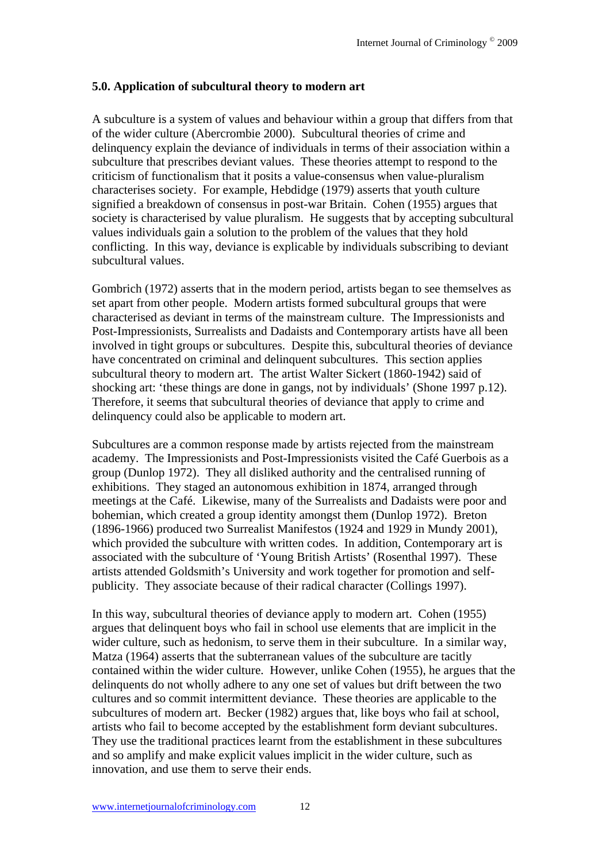#### **5.0. Application of subcultural theory to modern art**

A subculture is a system of values and behaviour within a group that differs from that of the wider culture (Abercrombie 2000). Subcultural theories of crime and delinquency explain the deviance of individuals in terms of their association within a subculture that prescribes deviant values. These theories attempt to respond to the criticism of functionalism that it posits a value-consensus when value-pluralism characterises society. For example, Hebdidge (1979) asserts that youth culture signified a breakdown of consensus in post-war Britain. Cohen (1955) argues that society is characterised by value pluralism. He suggests that by accepting subcultural values individuals gain a solution to the problem of the values that they hold conflicting. In this way, deviance is explicable by individuals subscribing to deviant subcultural values.

Gombrich (1972) asserts that in the modern period, artists began to see themselves as set apart from other people. Modern artists formed subcultural groups that were characterised as deviant in terms of the mainstream culture. The Impressionists and Post-Impressionists, Surrealists and Dadaists and Contemporary artists have all been involved in tight groups or subcultures. Despite this, subcultural theories of deviance have concentrated on criminal and delinquent subcultures. This section applies subcultural theory to modern art. The artist Walter Sickert (1860-1942) said of shocking art: 'these things are done in gangs, not by individuals' (Shone 1997 p.12). Therefore, it seems that subcultural theories of deviance that apply to crime and delinquency could also be applicable to modern art.

Subcultures are a common response made by artists rejected from the mainstream academy. The Impressionists and Post-Impressionists visited the Café Guerbois as a group (Dunlop 1972). They all disliked authority and the centralised running of exhibitions. They staged an autonomous exhibition in 1874, arranged through meetings at the Café. Likewise, many of the Surrealists and Dadaists were poor and bohemian, which created a group identity amongst them (Dunlop 1972). Breton (1896-1966) produced two Surrealist Manifestos (1924 and 1929 in Mundy 2001), which provided the subculture with written codes. In addition, Contemporary art is associated with the subculture of 'Young British Artists' (Rosenthal 1997). These artists attended Goldsmith's University and work together for promotion and selfpublicity. They associate because of their radical character (Collings 1997).

In this way, subcultural theories of deviance apply to modern art. Cohen (1955) argues that delinquent boys who fail in school use elements that are implicit in the wider culture, such as hedonism, to serve them in their subculture. In a similar way, Matza (1964) asserts that the subterranean values of the subculture are tacitly contained within the wider culture. However, unlike Cohen (1955), he argues that the delinquents do not wholly adhere to any one set of values but drift between the two cultures and so commit intermittent deviance. These theories are applicable to the subcultures of modern art. Becker (1982) argues that, like boys who fail at school, artists who fail to become accepted by the establishment form deviant subcultures. They use the traditional practices learnt from the establishment in these subcultures and so amplify and make explicit values implicit in the wider culture, such as innovation, and use them to serve their ends.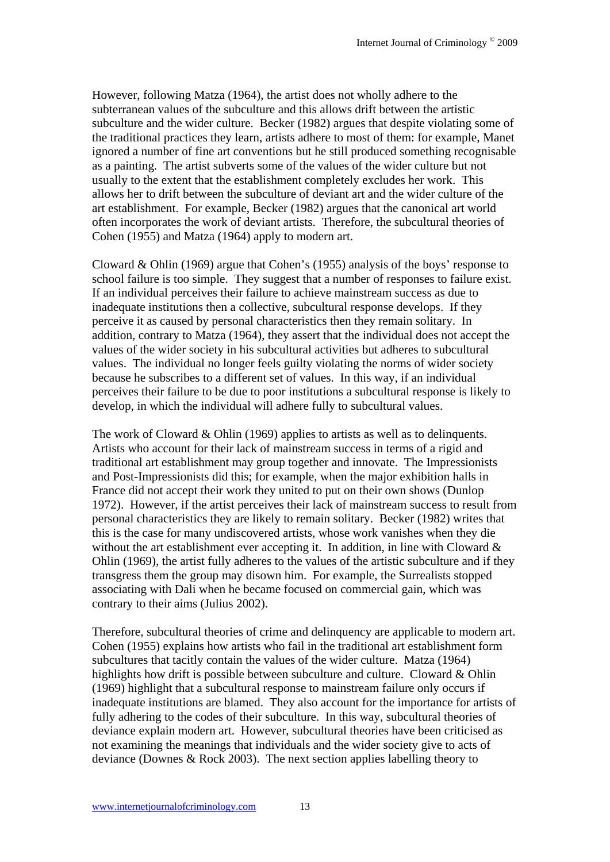However, following Matza (1964), the artist does not wholly adhere to the subterranean values of the subculture and this allows drift between the artistic subculture and the wider culture. Becker (1982) argues that despite violating some of the traditional practices they learn, artists adhere to most of them: for example, Manet ignored a number of fine art conventions but he still produced something recognisable as a painting. The artist subverts some of the values of the wider culture but not usually to the extent that the establishment completely excludes her work. This allows her to drift between the subculture of deviant art and the wider culture of the art establishment. For example, Becker (1982) argues that the canonical art world often incorporates the work of deviant artists. Therefore, the subcultural theories of Cohen (1955) and Matza (1964) apply to modern art.

Cloward & Ohlin (1969) argue that Cohen's (1955) analysis of the boys' response to school failure is too simple. They suggest that a number of responses to failure exist. If an individual perceives their failure to achieve mainstream success as due to inadequate institutions then a collective, subcultural response develops. If they perceive it as caused by personal characteristics then they remain solitary. In addition, contrary to Matza (1964), they assert that the individual does not accept the values of the wider society in his subcultural activities but adheres to subcultural values. The individual no longer feels guilty violating the norms of wider society because he subscribes to a different set of values. In this way, if an individual perceives their failure to be due to poor institutions a subcultural response is likely to develop, in which the individual will adhere fully to subcultural values.

The work of Cloward & Ohlin (1969) applies to artists as well as to delinquents. Artists who account for their lack of mainstream success in terms of a rigid and traditional art establishment may group together and innovate. The Impressionists and Post-Impressionists did this; for example, when the major exhibition halls in France did not accept their work they united to put on their own shows (Dunlop 1972). However, if the artist perceives their lack of mainstream success to result from personal characteristics they are likely to remain solitary. Becker (1982) writes that this is the case for many undiscovered artists, whose work vanishes when they die without the art establishment ever accepting it. In addition, in line with Cloward & Ohlin (1969), the artist fully adheres to the values of the artistic subculture and if they transgress them the group may disown him. For example, the Surrealists stopped associating with Dali when he became focused on commercial gain, which was contrary to their aims (Julius 2002).

Therefore, subcultural theories of crime and delinquency are applicable to modern art. Cohen (1955) explains how artists who fail in the traditional art establishment form subcultures that tacitly contain the values of the wider culture. Matza (1964) highlights how drift is possible between subculture and culture. Cloward & Ohlin (1969) highlight that a subcultural response to mainstream failure only occurs if inadequate institutions are blamed. They also account for the importance for artists of fully adhering to the codes of their subculture. In this way, subcultural theories of deviance explain modern art. However, subcultural theories have been criticised as not examining the meanings that individuals and the wider society give to acts of deviance (Downes & Rock 2003). The next section applies labelling theory to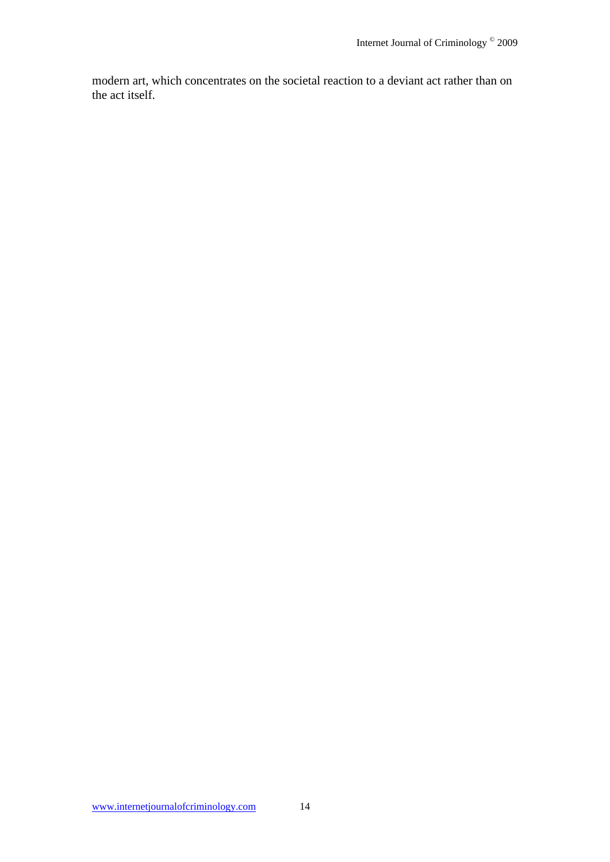modern art, which concentrates on the societal reaction to a deviant act rather than on the act itself.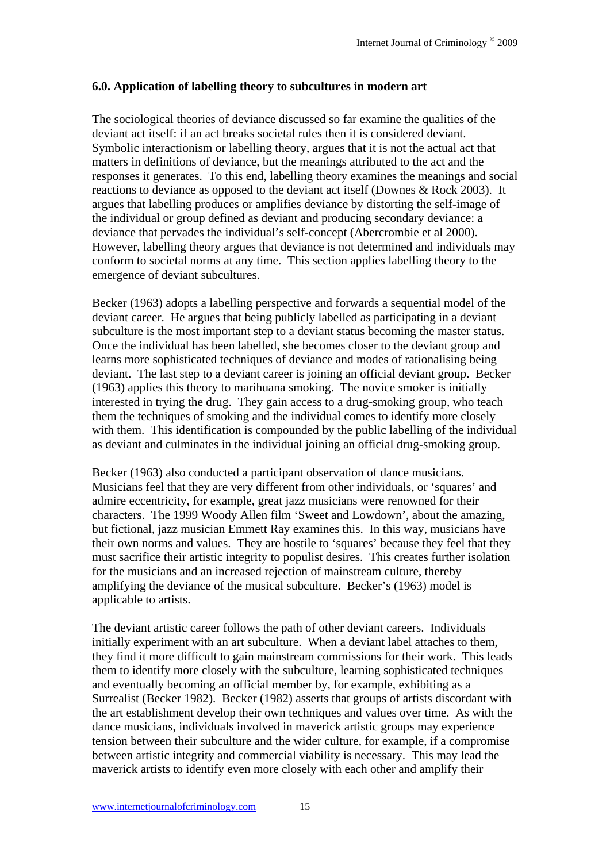#### **6.0. Application of labelling theory to subcultures in modern art**

The sociological theories of deviance discussed so far examine the qualities of the deviant act itself: if an act breaks societal rules then it is considered deviant. Symbolic interactionism or labelling theory, argues that it is not the actual act that matters in definitions of deviance, but the meanings attributed to the act and the responses it generates. To this end, labelling theory examines the meanings and social reactions to deviance as opposed to the deviant act itself (Downes & Rock 2003). It argues that labelling produces or amplifies deviance by distorting the self-image of the individual or group defined as deviant and producing secondary deviance: a deviance that pervades the individual's self-concept (Abercrombie et al 2000). However, labelling theory argues that deviance is not determined and individuals may conform to societal norms at any time. This section applies labelling theory to the emergence of deviant subcultures.

Becker (1963) adopts a labelling perspective and forwards a sequential model of the deviant career. He argues that being publicly labelled as participating in a deviant subculture is the most important step to a deviant status becoming the master status. Once the individual has been labelled, she becomes closer to the deviant group and learns more sophisticated techniques of deviance and modes of rationalising being deviant. The last step to a deviant career is joining an official deviant group. Becker (1963) applies this theory to marihuana smoking. The novice smoker is initially interested in trying the drug. They gain access to a drug-smoking group, who teach them the techniques of smoking and the individual comes to identify more closely with them. This identification is compounded by the public labelling of the individual as deviant and culminates in the individual joining an official drug-smoking group.

Becker (1963) also conducted a participant observation of dance musicians. Musicians feel that they are very different from other individuals, or 'squares' and admire eccentricity, for example, great jazz musicians were renowned for their characters. The 1999 Woody Allen film 'Sweet and Lowdown', about the amazing, but fictional, jazz musician Emmett Ray examines this. In this way, musicians have their own norms and values. They are hostile to 'squares' because they feel that they must sacrifice their artistic integrity to populist desires. This creates further isolation for the musicians and an increased rejection of mainstream culture, thereby amplifying the deviance of the musical subculture. Becker's (1963) model is applicable to artists.

The deviant artistic career follows the path of other deviant careers. Individuals initially experiment with an art subculture. When a deviant label attaches to them, they find it more difficult to gain mainstream commissions for their work. This leads them to identify more closely with the subculture, learning sophisticated techniques and eventually becoming an official member by, for example, exhibiting as a Surrealist (Becker 1982). Becker (1982) asserts that groups of artists discordant with the art establishment develop their own techniques and values over time. As with the dance musicians, individuals involved in maverick artistic groups may experience tension between their subculture and the wider culture, for example, if a compromise between artistic integrity and commercial viability is necessary. This may lead the maverick artists to identify even more closely with each other and amplify their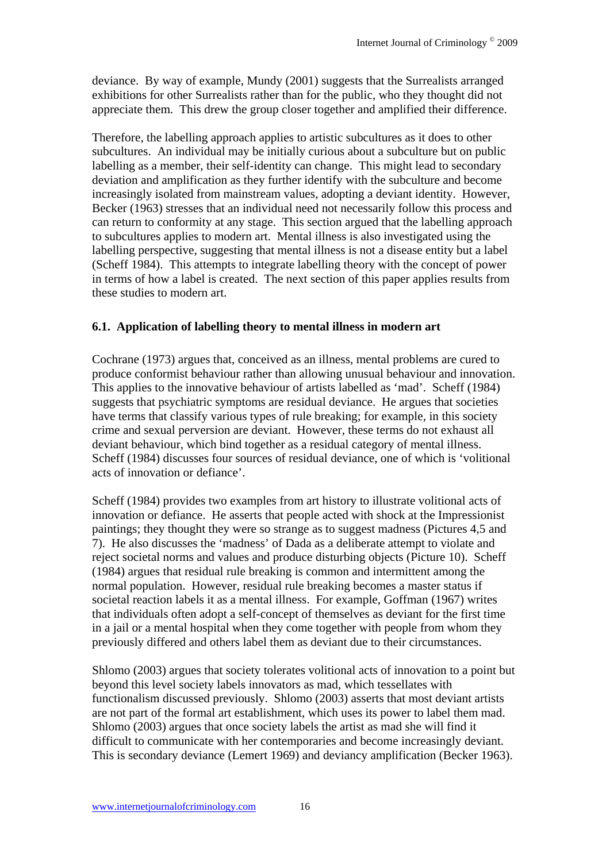deviance. By way of example, Mundy (2001) suggests that the Surrealists arranged exhibitions for other Surrealists rather than for the public, who they thought did not appreciate them. This drew the group closer together and amplified their difference.

Therefore, the labelling approach applies to artistic subcultures as it does to other subcultures. An individual may be initially curious about a subculture but on public labelling as a member, their self-identity can change. This might lead to secondary deviation and amplification as they further identify with the subculture and become increasingly isolated from mainstream values, adopting a deviant identity. However, Becker (1963) stresses that an individual need not necessarily follow this process and can return to conformity at any stage. This section argued that the labelling approach to subcultures applies to modern art. Mental illness is also investigated using the labelling perspective, suggesting that mental illness is not a disease entity but a label (Scheff 1984). This attempts to integrate labelling theory with the concept of power in terms of how a label is created. The next section of this paper applies results from these studies to modern art.

#### **6.1. Application of labelling theory to mental illness in modern art**

Cochrane (1973) argues that, conceived as an illness, mental problems are cured to produce conformist behaviour rather than allowing unusual behaviour and innovation. This applies to the innovative behaviour of artists labelled as 'mad'. Scheff (1984) suggests that psychiatric symptoms are residual deviance. He argues that societies have terms that classify various types of rule breaking; for example, in this society crime and sexual perversion are deviant. However, these terms do not exhaust all deviant behaviour, which bind together as a residual category of mental illness. Scheff (1984) discusses four sources of residual deviance, one of which is 'volitional acts of innovation or defiance'.

Scheff (1984) provides two examples from art history to illustrate volitional acts of innovation or defiance. He asserts that people acted with shock at the Impressionist paintings; they thought they were so strange as to suggest madness (Pictures 4,5 and 7). He also discusses the 'madness' of Dada as a deliberate attempt to violate and reject societal norms and values and produce disturbing objects (Picture 10). Scheff (1984) argues that residual rule breaking is common and intermittent among the normal population. However, residual rule breaking becomes a master status if societal reaction labels it as a mental illness. For example, Goffman (1967) writes that individuals often adopt a self-concept of themselves as deviant for the first time in a jail or a mental hospital when they come together with people from whom they previously differed and others label them as deviant due to their circumstances.

Shlomo (2003) argues that society tolerates volitional acts of innovation to a point but beyond this level society labels innovators as mad, which tessellates with functionalism discussed previously. Shlomo (2003) asserts that most deviant artists are not part of the formal art establishment, which uses its power to label them mad. Shlomo (2003) argues that once society labels the artist as mad she will find it difficult to communicate with her contemporaries and become increasingly deviant. This is secondary deviance (Lemert 1969) and deviancy amplification (Becker 1963).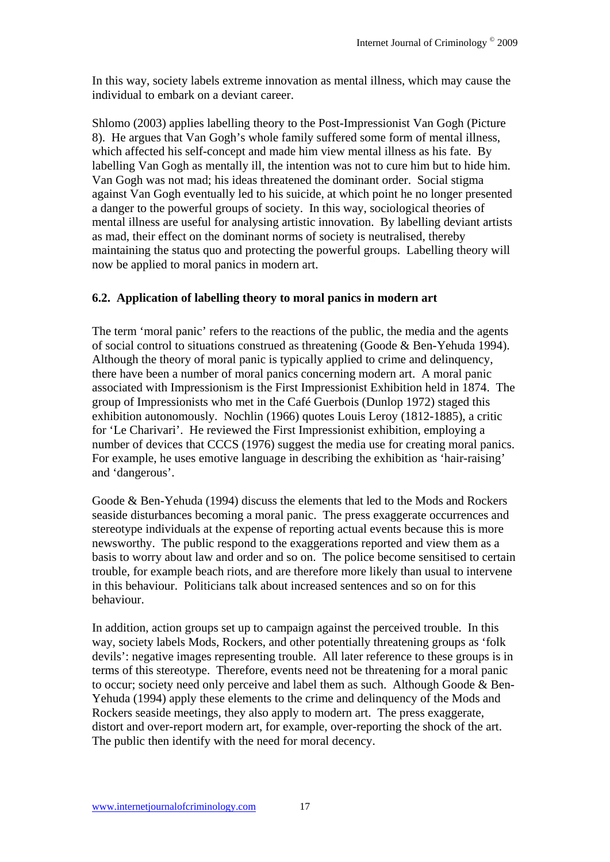In this way, society labels extreme innovation as mental illness, which may cause the individual to embark on a deviant career.

Shlomo (2003) applies labelling theory to the Post-Impressionist Van Gogh (Picture 8). He argues that Van Gogh's whole family suffered some form of mental illness, which affected his self-concept and made him view mental illness as his fate. By labelling Van Gogh as mentally ill, the intention was not to cure him but to hide him. Van Gogh was not mad; his ideas threatened the dominant order. Social stigma against Van Gogh eventually led to his suicide, at which point he no longer presented a danger to the powerful groups of society. In this way, sociological theories of mental illness are useful for analysing artistic innovation. By labelling deviant artists as mad, their effect on the dominant norms of society is neutralised, thereby maintaining the status quo and protecting the powerful groups. Labelling theory will now be applied to moral panics in modern art.

#### **6.2. Application of labelling theory to moral panics in modern art**

The term 'moral panic' refers to the reactions of the public, the media and the agents of social control to situations construed as threatening (Goode & Ben-Yehuda 1994). Although the theory of moral panic is typically applied to crime and delinquency, there have been a number of moral panics concerning modern art. A moral panic associated with Impressionism is the First Impressionist Exhibition held in 1874. The group of Impressionists who met in the Café Guerbois (Dunlop 1972) staged this exhibition autonomously. Nochlin (1966) quotes Louis Leroy (1812-1885), a critic for 'Le Charivari'. He reviewed the First Impressionist exhibition, employing a number of devices that CCCS (1976) suggest the media use for creating moral panics. For example, he uses emotive language in describing the exhibition as 'hair-raising' and 'dangerous'.

Goode & Ben-Yehuda (1994) discuss the elements that led to the Mods and Rockers seaside disturbances becoming a moral panic. The press exaggerate occurrences and stereotype individuals at the expense of reporting actual events because this is more newsworthy. The public respond to the exaggerations reported and view them as a basis to worry about law and order and so on. The police become sensitised to certain trouble, for example beach riots, and are therefore more likely than usual to intervene in this behaviour. Politicians talk about increased sentences and so on for this behaviour.

In addition, action groups set up to campaign against the perceived trouble. In this way, society labels Mods, Rockers, and other potentially threatening groups as 'folk devils': negative images representing trouble. All later reference to these groups is in terms of this stereotype. Therefore, events need not be threatening for a moral panic to occur; society need only perceive and label them as such. Although Goode & Ben-Yehuda (1994) apply these elements to the crime and delinquency of the Mods and Rockers seaside meetings, they also apply to modern art. The press exaggerate, distort and over-report modern art, for example, over-reporting the shock of the art. The public then identify with the need for moral decency.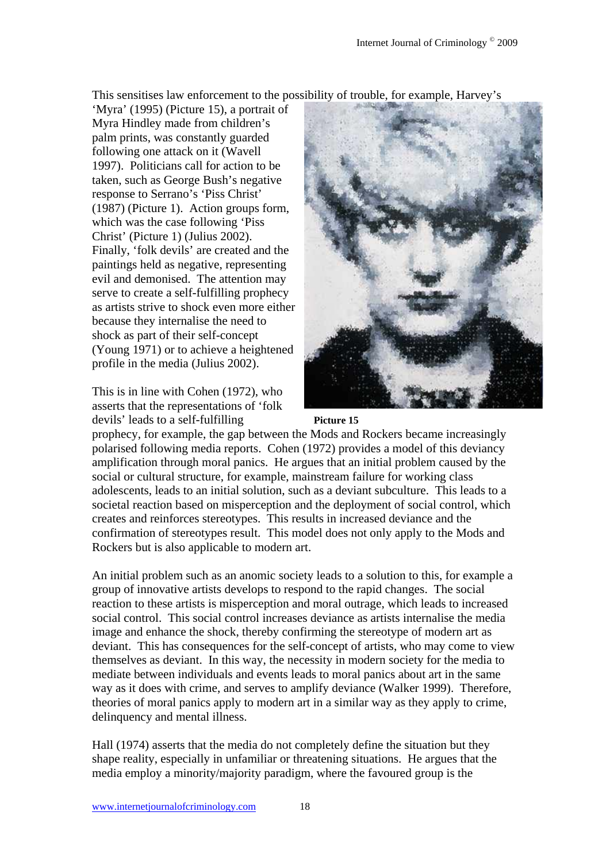This sensitises law enforcement to the possibility of trouble, for example, Harvey's

'Myra' (1995) (Picture 15), a portrait of Myra Hindley made from children's palm prints, was constantly guarded following one attack on it (Wavell 1997). Politicians call for action to be taken, such as George Bush's negative response to Serrano's 'Piss Christ' (1987) (Picture 1). Action groups form, which was the case following 'Piss Christ' (Picture 1) (Julius 2002). Finally, 'folk devils' are created and the paintings held as negative, representing evil and demonised. The attention may serve to create a self-fulfilling prophecy as artists strive to shock even more either because they internalise the need to shock as part of their self-concept (Young 1971) or to achieve a heightened profile in the media (Julius 2002).

This is in line with Cohen (1972), who asserts that the representations of 'folk devils' leads to a self-fulfilling



#### **Picture 15**

prophecy, for example, the gap between the Mods and Rockers became increasingly polarised following media reports. Cohen (1972) provides a model of this deviancy amplification through moral panics. He argues that an initial problem caused by the social or cultural structure, for example, mainstream failure for working class adolescents, leads to an initial solution, such as a deviant subculture. This leads to a societal reaction based on misperception and the deployment of social control, which creates and reinforces stereotypes. This results in increased deviance and the confirmation of stereotypes result. This model does not only apply to the Mods and Rockers but is also applicable to modern art.

An initial problem such as an anomic society leads to a solution to this, for example a group of innovative artists develops to respond to the rapid changes. The social reaction to these artists is misperception and moral outrage, which leads to increased social control. This social control increases deviance as artists internalise the media image and enhance the shock, thereby confirming the stereotype of modern art as deviant. This has consequences for the self-concept of artists, who may come to view themselves as deviant. In this way, the necessity in modern society for the media to mediate between individuals and events leads to moral panics about art in the same way as it does with crime, and serves to amplify deviance (Walker 1999). Therefore, theories of moral panics apply to modern art in a similar way as they apply to crime, delinquency and mental illness.

Hall (1974) asserts that the media do not completely define the situation but they shape reality, especially in unfamiliar or threatening situations. He argues that the media employ a minority/majority paradigm, where the favoured group is the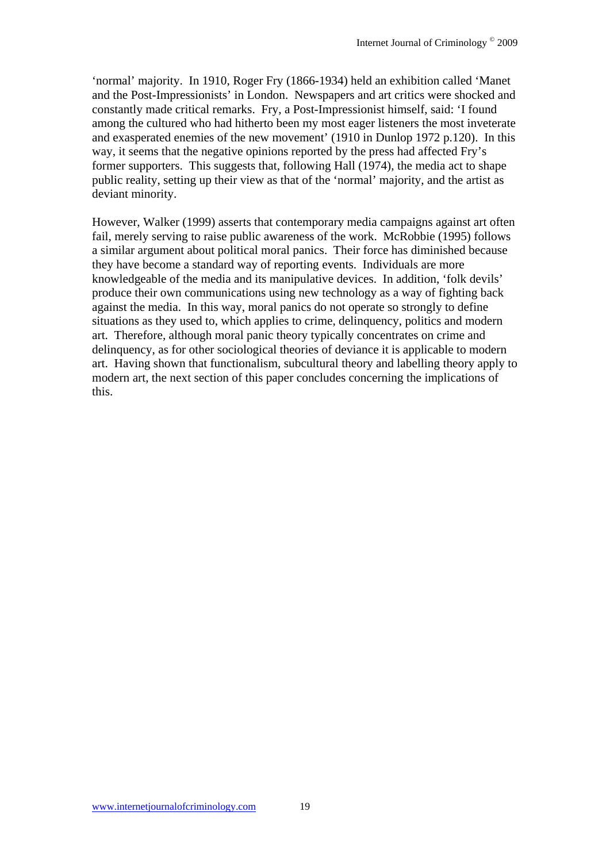'normal' majority. In 1910, Roger Fry (1866-1934) held an exhibition called 'Manet and the Post-Impressionists' in London. Newspapers and art critics were shocked and constantly made critical remarks. Fry, a Post-Impressionist himself, said: 'I found among the cultured who had hitherto been my most eager listeners the most inveterate and exasperated enemies of the new movement' (1910 in Dunlop 1972 p.120). In this way, it seems that the negative opinions reported by the press had affected Fry's former supporters. This suggests that, following Hall (1974), the media act to shape public reality, setting up their view as that of the 'normal' majority, and the artist as deviant minority.

However, Walker (1999) asserts that contemporary media campaigns against art often fail, merely serving to raise public awareness of the work. McRobbie (1995) follows a similar argument about political moral panics. Their force has diminished because they have become a standard way of reporting events. Individuals are more knowledgeable of the media and its manipulative devices. In addition, 'folk devils' produce their own communications using new technology as a way of fighting back against the media. In this way, moral panics do not operate so strongly to define situations as they used to, which applies to crime, delinquency, politics and modern art. Therefore, although moral panic theory typically concentrates on crime and delinquency, as for other sociological theories of deviance it is applicable to modern art. Having shown that functionalism, subcultural theory and labelling theory apply to modern art, the next section of this paper concludes concerning the implications of this.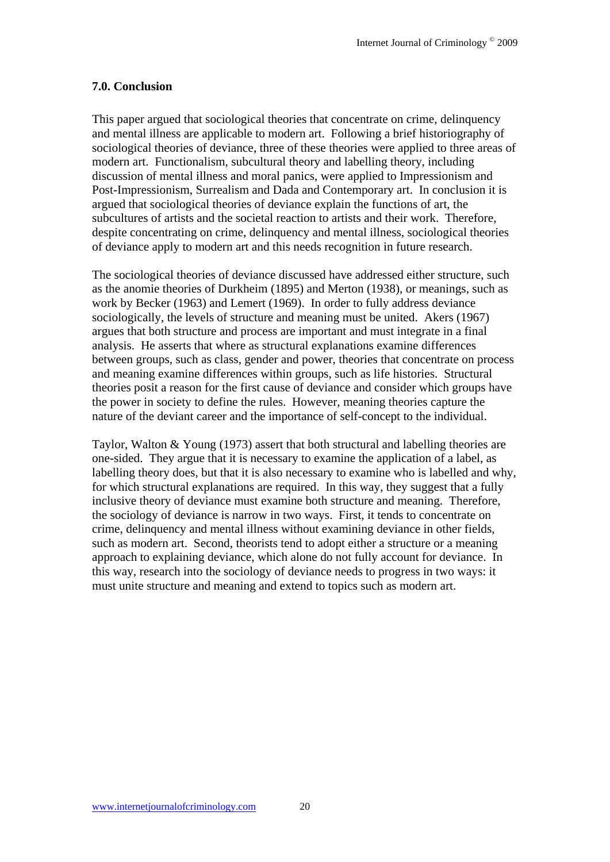#### **7.0. Conclusion**

This paper argued that sociological theories that concentrate on crime, delinquency and mental illness are applicable to modern art. Following a brief historiography of sociological theories of deviance, three of these theories were applied to three areas of modern art. Functionalism, subcultural theory and labelling theory, including discussion of mental illness and moral panics, were applied to Impressionism and Post-Impressionism, Surrealism and Dada and Contemporary art. In conclusion it is argued that sociological theories of deviance explain the functions of art, the subcultures of artists and the societal reaction to artists and their work. Therefore, despite concentrating on crime, delinquency and mental illness, sociological theories of deviance apply to modern art and this needs recognition in future research.

The sociological theories of deviance discussed have addressed either structure, such as the anomie theories of Durkheim (1895) and Merton (1938), or meanings, such as work by Becker (1963) and Lemert (1969). In order to fully address deviance sociologically, the levels of structure and meaning must be united. Akers (1967) argues that both structure and process are important and must integrate in a final analysis. He asserts that where as structural explanations examine differences between groups, such as class, gender and power, theories that concentrate on process and meaning examine differences within groups, such as life histories. Structural theories posit a reason for the first cause of deviance and consider which groups have the power in society to define the rules. However, meaning theories capture the nature of the deviant career and the importance of self-concept to the individual.

Taylor, Walton & Young (1973) assert that both structural and labelling theories are one-sided. They argue that it is necessary to examine the application of a label, as labelling theory does, but that it is also necessary to examine who is labelled and why, for which structural explanations are required. In this way, they suggest that a fully inclusive theory of deviance must examine both structure and meaning. Therefore, the sociology of deviance is narrow in two ways. First, it tends to concentrate on crime, delinquency and mental illness without examining deviance in other fields, such as modern art. Second, theorists tend to adopt either a structure or a meaning approach to explaining deviance, which alone do not fully account for deviance. In this way, research into the sociology of deviance needs to progress in two ways: it must unite structure and meaning and extend to topics such as modern art.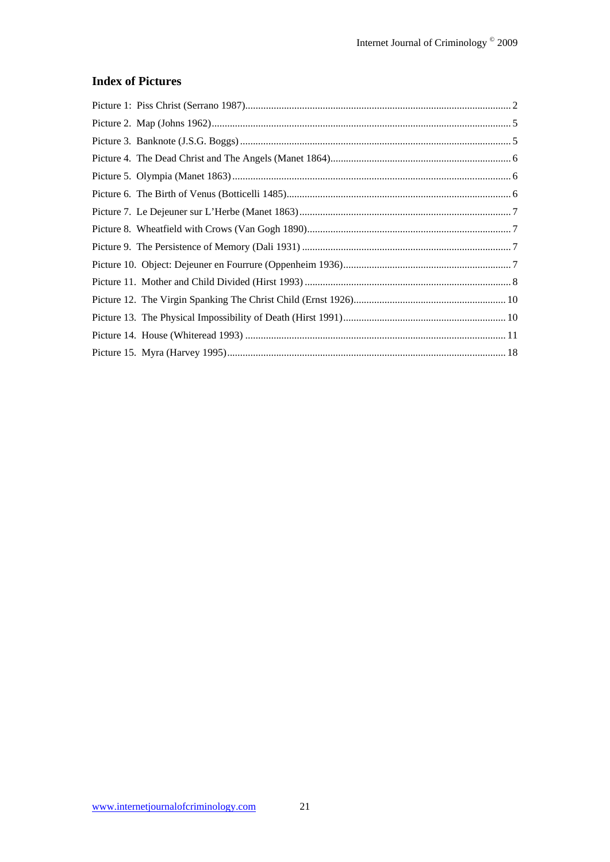## **Index of Pictures**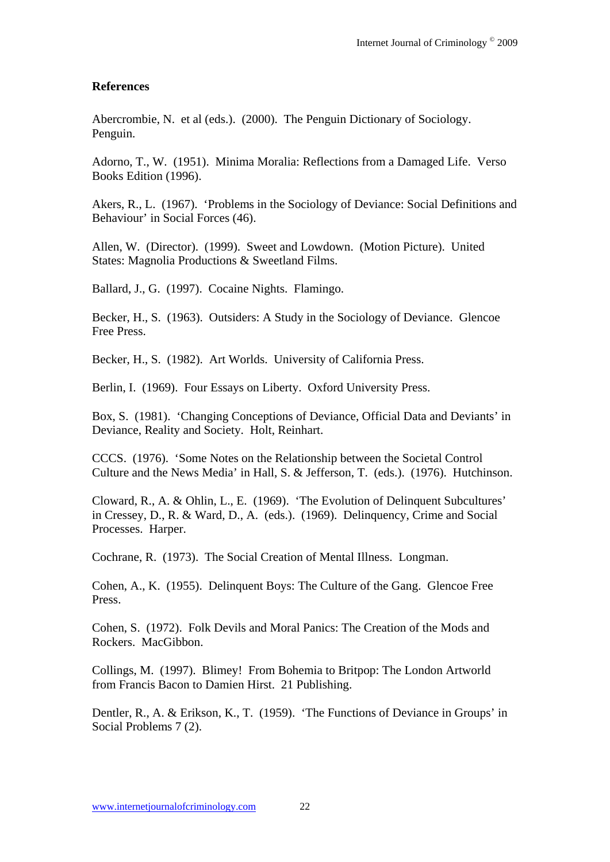#### **References**

Abercrombie, N. et al (eds.). (2000). The Penguin Dictionary of Sociology. Penguin.

Adorno, T., W. (1951). Minima Moralia: Reflections from a Damaged Life. Verso Books Edition (1996).

Akers, R., L. (1967). 'Problems in the Sociology of Deviance: Social Definitions and Behaviour' in Social Forces (46).

Allen, W. (Director). (1999). Sweet and Lowdown. (Motion Picture). United States: Magnolia Productions & Sweetland Films.

Ballard, J., G. (1997). Cocaine Nights. Flamingo.

Becker, H., S. (1963). Outsiders: A Study in the Sociology of Deviance. Glencoe Free Press.

Becker, H., S. (1982). Art Worlds. University of California Press.

Berlin, I. (1969). Four Essays on Liberty. Oxford University Press.

Box, S. (1981). 'Changing Conceptions of Deviance, Official Data and Deviants' in Deviance, Reality and Society. Holt, Reinhart.

CCCS. (1976). 'Some Notes on the Relationship between the Societal Control Culture and the News Media' in Hall, S. & Jefferson, T. (eds.). (1976). Hutchinson.

Cloward, R., A. & Ohlin, L., E. (1969). 'The Evolution of Delinquent Subcultures' in Cressey, D., R. & Ward, D., A. (eds.). (1969). Delinquency, Crime and Social Processes. Harper.

Cochrane, R. (1973). The Social Creation of Mental Illness. Longman.

Cohen, A., K. (1955). Delinquent Boys: The Culture of the Gang. Glencoe Free Press.

Cohen, S. (1972). Folk Devils and Moral Panics: The Creation of the Mods and Rockers. MacGibbon.

Collings, M. (1997). Blimey! From Bohemia to Britpop: The London Artworld from Francis Bacon to Damien Hirst. 21 Publishing.

Dentler, R., A. & Erikson, K., T. (1959). 'The Functions of Deviance in Groups' in Social Problems 7 (2).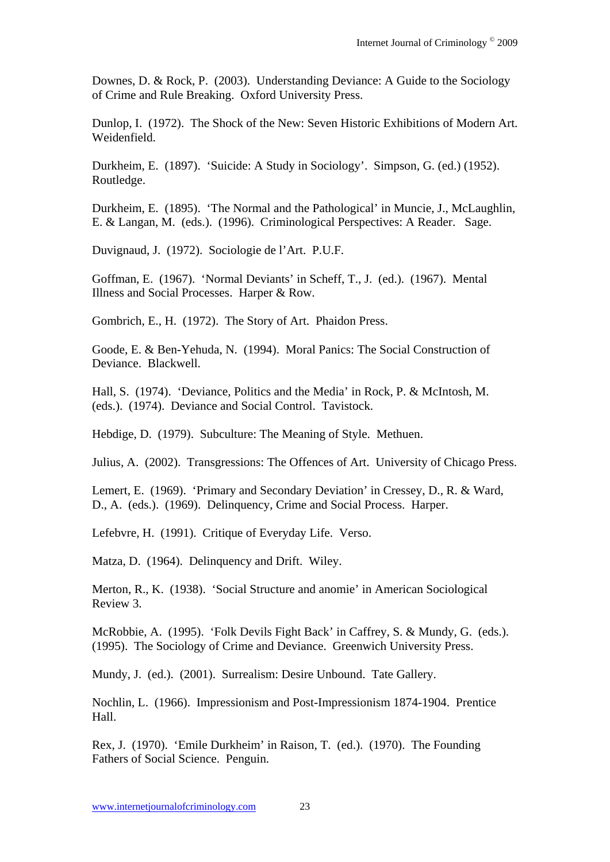Downes, D. & Rock, P. (2003). Understanding Deviance: A Guide to the Sociology of Crime and Rule Breaking. Oxford University Press.

Dunlop, I. (1972). The Shock of the New: Seven Historic Exhibitions of Modern Art. Weidenfield.

Durkheim, E. (1897). 'Suicide: A Study in Sociology'. Simpson, G. (ed.) (1952). Routledge.

Durkheim, E. (1895). 'The Normal and the Pathological' in Muncie, J., McLaughlin, E. & Langan, M. (eds.). (1996). Criminological Perspectives: A Reader. Sage.

Duvignaud, J. (1972). Sociologie de l'Art. P.U.F.

Goffman, E. (1967). 'Normal Deviants' in Scheff, T., J. (ed.). (1967). Mental Illness and Social Processes. Harper & Row.

Gombrich, E., H. (1972). The Story of Art. Phaidon Press.

Goode, E. & Ben-Yehuda, N. (1994). Moral Panics: The Social Construction of Deviance. Blackwell.

Hall, S. (1974). 'Deviance, Politics and the Media' in Rock, P. & McIntosh, M. (eds.). (1974). Deviance and Social Control. Tavistock.

Hebdige, D. (1979). Subculture: The Meaning of Style. Methuen.

Julius, A. (2002). Transgressions: The Offences of Art. University of Chicago Press.

Lemert, E. (1969). 'Primary and Secondary Deviation' in Cressey, D., R. & Ward, D., A. (eds.). (1969). Delinquency, Crime and Social Process. Harper.

Lefebvre, H. (1991). Critique of Everyday Life. Verso.

Matza, D. (1964). Delinquency and Drift. Wiley.

Merton, R., K. (1938). 'Social Structure and anomie' in American Sociological Review 3.

McRobbie, A. (1995). 'Folk Devils Fight Back' in Caffrey, S. & Mundy, G. (eds.). (1995). The Sociology of Crime and Deviance. Greenwich University Press.

Mundy, J. (ed.). (2001). Surrealism: Desire Unbound. Tate Gallery.

Nochlin, L. (1966). Impressionism and Post-Impressionism 1874-1904. Prentice Hall.

Rex, J. (1970). 'Emile Durkheim' in Raison, T. (ed.). (1970). The Founding Fathers of Social Science. Penguin.